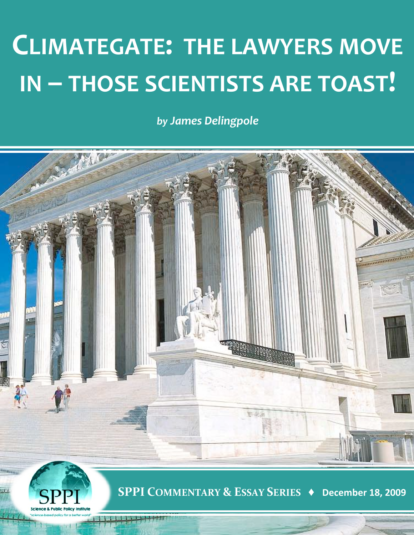# **CLIMATEGATE: THE LAWYERS MOVE IN – THOSE SCIENTISTS ARE TOAST!**

*by James Delingpole*





**SPPI COMMENTARY & ESSAY SERIES ♦ December 18, 2009**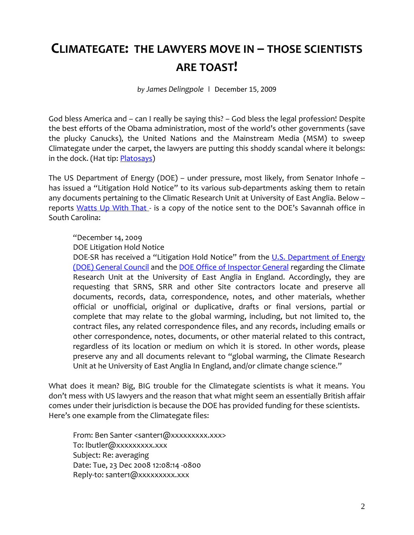## **CLIMATEGATE: THE LAWYERS MOVE IN – THOSE SCIENTISTS ARE TOAST!**

*by James Delingpole* **|** December 15, 2009

God bless America and – can I really be saying this? – God bless the legal profession! Despite the best efforts of the Obama administration, most of the world's other governments (save the plucky Canucks), the United Nations and the Mainstream Media (MSM) to sweep Climategate under the carpet, the lawyers are putting this shoddy scandal where it belongs: in the dock. (Hat tip[: Platosays\)](http://plato-says.blogspot.com/)

The US Department of Energy (DOE) – under pressure, most likely, from Senator Inhofe – has issued a "Litigation Hold Notice" to its various sub-departments asking them to retain any documents pertaining to the Climatic Research Unit at University of East Anglia. Below – reports [Watts Up With That -](http://wattsupwiththat.com/2009/12/14/doe-sends-a-litigation-hold-notice-regarding-cru-to-employees-asking-to-preserve-documents/) is a copy of the notice sent to the DOE's Savannah office in South Carolina:

"December 14, 2009

DOE Litigation Hold Notice

DOE-SR has received a "Litigation Hold Notice" from the U.S. Department of Energy [\(DOE\) General Council](http://www.gc.energy.gov/) and the [DOE Office of Inspector General](http://www.ig.energy.gov/) regarding the Climate Research Unit at the University of East Anglia in England. Accordingly, they are requesting that SRNS, SRR and other Site contractors locate and preserve all documents, records, data, correspondence, notes, and other materials, whether official or unofficial, original or duplicative, drafts or final versions, partial or complete that may relate to the global warming, including, but not limited to, the contract files, any related correspondence files, and any records, including emails or other correspondence, notes, documents, or other material related to this contract, regardless of its location or medium on which it is stored. In other words, please preserve any and all documents relevant to "global warming, the Climate Research Unit at he University of East Anglia In England, and/or climate change science."

What does it mean? Big, BIG trouble for the Climategate scientists is what it means. You don't mess with US lawyers and the reason that what might seem an essentially British affair comes under their jurisdiction is because the DOE has provided funding for these scientists. Here's one example from the Climategate files:

From: Ben Santer <santer1@xxxxxxxxx.xxx> To: lbutler@xxxxxxxxx.xxx Subject: Re: averaging Date: Tue, 23 Dec 2008 12:08:14 -0800 Reply-to: santer1@xxxxxxxxx.xxx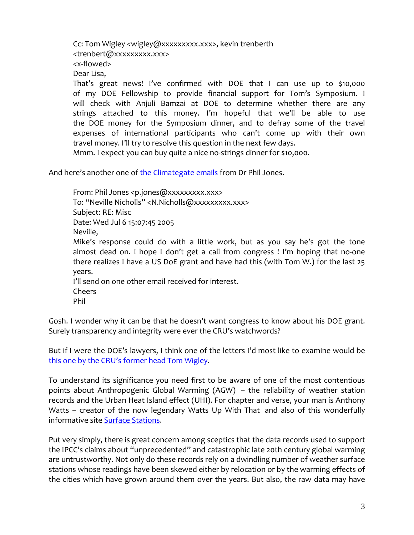Cc: Tom Wigley <wigley@xxxxxxxxx.xxx>, kevin trenberth <trenbert@xxxxxxxxx.xxx> <x-flowed> Dear Lisa, That's great news! I've confirmed with DOE that I can use up to \$10,000

of my DOE Fellowship to provide financial support for Tom's Symposium. I will check with Anjuli Bamzai at DOE to determine whether there are any strings attached to this money. I'm hopeful that we'll be able to use the DOE money for the Symposium dinner, and to defray some of the travel expenses of international participants who can't come up with their own travel money. I'll try to resolve this question in the next few days.

Mmm. I expect you can buy quite a nice no-strings dinner for \$10,000.

And here's another one of [the Climategate emails f](http://eastangliaemails.com/emails.php?eid=545&filename=1120676865.txt)rom Dr Phil Jones.

From: Phil Jones <p.jones@xxxxxxxxx.xxx> To: "Neville Nicholls" <N.Nicholls@xxxxxxxxx.xxx> Subject: RE: Misc Date: Wed Jul 6 15:07:45 2005 Neville, Mike's response could do with a little work, but as you say he's got the tone almost dead on. I hope I don't get a call from congress ! I'm hoping that no-one there realizes I have a US DoE grant and have had this (with Tom W.) for the last 25 years. I'll send on one other email received for interest. Cheers Phil

Gosh. I wonder why it can be that he doesn't want congress to know about his DOE grant. Surely transparency and integrity were ever the CRU's watchwords?

But if I were the DOE's lawyers, I think one of the letters I'd most like to examine would be [this one by the CRU's former head Tom Wigley.](http://junkscience.com/FOIA/mail/1241415427.txt)

To understand its significance you need first to be aware of one of the most contentious points about Anthropogenic Global Warming (AGW) – the reliability of weather station records and the Urban Heat Island effect (UHI). For chapter and verse, your man is Anthony Watts – creator of the now legendary Watts Up With That and also of this wonderfully informative site **Surface Stations**.

Put very simply, there is great concern among sceptics that the data records used to support the IPCC's claims about "unprecedented" and catastrophic late 20th century global warming are untrustworthy. Not only do these records rely on a dwindling number of weather surface stations whose readings have been skewed either by relocation or by the warming effects of the cities which have grown around them over the years. But also, the raw data may have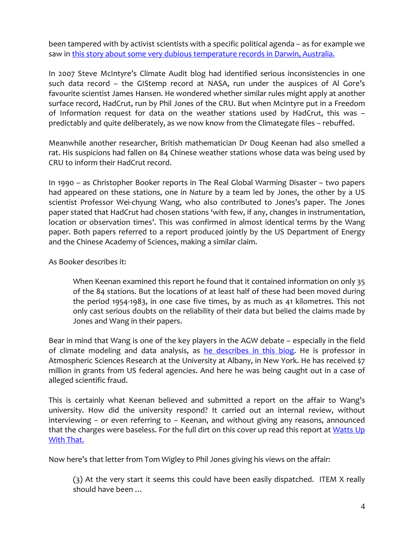been tampered with by activist scientists with a specific political agenda – as for example we saw in [this story about some very dubious temperature records in Darwin, Australia.](http://blogs.telegraph.co.uk/news/jamesdelingpole/100019301/climategate-another-smoking-gun/)

In 2007 Steve McIntyre's Climate Audit blog had identified serious inconsistencies in one such data record – the GIStemp record at NASA, run under the auspices of Al Gore's favourite scientist James Hansen. He wondered whether similar rules might apply at another surface record, HadCrut, run by Phil Jones of the CRU. But when McIntyre put in a Freedom of Information request for data on the weather stations used by HadCrut, this was – predictably and quite deliberately, as we now know from the Climategate files – rebuffed.

Meanwhile another researcher, British mathematician Dr Doug Keenan had also smelled a rat. His suspicions had fallen on 84 Chinese weather stations whose data was being used by CRU to inform their HadCrut record.

In 1990 – as Christopher Booker reports in The Real Global Warming Disaster – two papers had appeared on these stations, one in *Nature* by a team led by Jones, the other by a US scientist Professor Wei-chyung Wang, who also contributed to Jones's paper. The Jones paper stated that HadCrut had chosen stations 'with few, if any, changes in instrumentation, location or observation times'. This was confirmed in almost identical terms by the Wang paper. Both papers referred to a report produced jointly by the US Department of Energy and the Chinese Academy of Sciences, making a similar claim.

#### As Booker describes it:

When Keenan examined this report he found that it contained information on only 35 of the 84 stations. But the locations of at least half of these had been moved during the period 1954-1983, in one case five times, by as much as 41 kilometres. This not only cast serious doubts on the reliability of their data but belied the claims made by Jones and Wang in their papers.

Bear in mind that Wang is one of the key players in the AGW debate – especially in the field of climate modeling and data analysis, as [he describes in this biog.](http://asrc.albany.edu/people/faculty/wang/wang.html) He is professor in Atmospheric Sciences Research at the University at Albany, in New York. He has received \$7 million in grants from US federal agencies. And here he was being caught out in a case of alleged scientific fraud.

This is certainly what Keenan believed and submitted a report on the affair to Wang's university. How did the university respond? It carried out an internal review, without interviewing – or even referring to – Keenan, and without giving any reasons, announced that the charges were baseless. For the full dirt on this cover up read this report at Watts Up [With That.](http://wattsupwiththat.com/2009/05/03/climate-science-fraud-at-albany-university/#comments)

Now here's that letter from Tom Wigley to Phil Jones giving his views on the affair:

(3) At the very start it seems this could have been easily dispatched. ITEM X really should have been …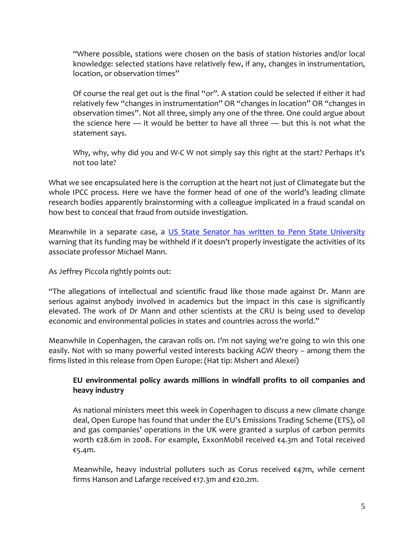"Where possible, stations were chosen on the basis of station histories and/or local knowledge: selected stations have relatively few, if any, changes in instrumentation, location, or observation times"

Of course the real get out is the final "or". A station could be selected if either it had relatively few "changes in instrumentation" OR "changes in location" OR "changes in observation times". Not all three, simply any one of the three. One could argue about the science here — it would be better to have all three — but this is not what the statement says.

Why, why, why did you and W-C W not simply say this right at the start? Perhaps it's not too late?

What we see encapsulated here is the corruption at the heart not just of Climategate but the whole IPCC process. Here we have the former head of one of the world's leading climate research bodies apparently brainstorming with a colleague implicated in a fraud scandal on how best to conceal that fraud from outside investigation.

Meanwhile in a separate case, a [US State Senator has written to Penn State University](http://www.scribd.com/doc/23612181/Sen-Piccola-Letter-on-PSU-Prof-Michael-Mann) warning that its funding may be withheld if it doesn't properly investigate the activities of its associate professor Michael Mann.

As Jeffrey Piccola rightly points out:

"The allegations of intellectual and scientific fraud like those made against Dr. Mann are serious against anybody involved in academics but the impact in this case is significantly elevated. The work of Dr Mann and other scientists at the CRU is being used to develop economic and environmental policies in states and countries across the world."

Meanwhile in Copenhagen, the caravan rolls on. I'm not saying we're going to win this one easily. Not with so many powerful vested interests backing AGW theory – among them the firms listed in this release from Open Europe: (Hat tip: Msher1 and Alexei)

### **EU environmental policy awards millions in windfall profits to oil companies and heavy industry**

As national ministers meet this week in Copenhagen to discuss a new climate change deal, Open Europe has found that under the EU's Emissions Trading Scheme (ETS), oil and gas companies' operations in the UK were granted a surplus of carbon permits worth €28.6m in 2008. For example, ExxonMobil received €4.3m and Total received €5.4m.

Meanwhile, heavy industrial polluters such as Corus received €47m, while cement firms Hanson and Lafarge received €17.3m and €20.2m.